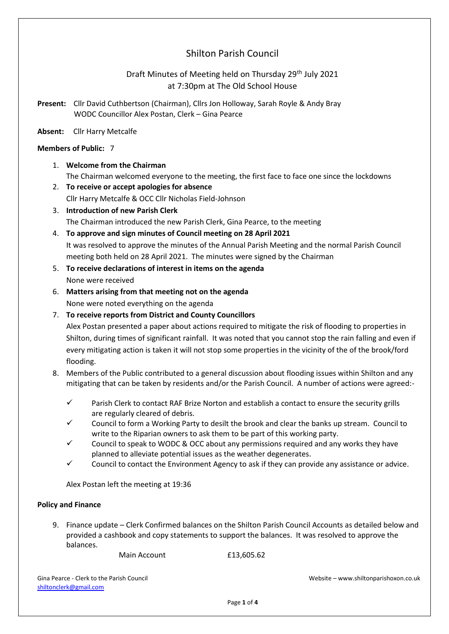# Shilton Parish Council

# Draft Minutes of Meeting held on Thursday 29th July 2021 at 7:30pm at The Old School House

**Present:** Cllr David Cuthbertson (Chairman), Cllrs Jon Holloway, Sarah Royle & Andy Bray WODC Councillor Alex Postan, Clerk – Gina Pearce

#### **Absent:** Cllr Harry Metcalfe

#### **Members of Public:** 7

- 1. **Welcome from the Chairman** The Chairman welcomed everyone to the meeting, the first face to face one since the lockdowns
- 2. **To receive or accept apologies for absence** Cllr Harry Metcalfe & OCC Cllr Nicholas Field-Johnson
- 3. **Introduction of new Parish Clerk** The Chairman introduced the new Parish Clerk, Gina Pearce, to the meeting
- 4. **To approve and sign minutes of Council meeting on 28 April 2021** It was resolved to approve the minutes of the Annual Parish Meeting and the normal Parish Council meeting both held on 28 April 2021. The minutes were signed by the Chairman
- 5. **To receive declarations of interest in items on the agenda** None were received
- 6. **Matters arising from that meeting not on the agenda** None were noted everything on the agenda
- 7. **To receive reports from District and County Councillors**

Alex Postan presented a paper about actions required to mitigate the risk of flooding to properties in Shilton, during times of significant rainfall. It was noted that you cannot stop the rain falling and even if every mitigating action is taken it will not stop some properties in the vicinity of the of the brook/ford flooding.

- 8. Members of the Public contributed to a general discussion about flooding issues within Shilton and any mitigating that can be taken by residents and/or the Parish Council. A number of actions were agreed:-
	- $\checkmark$  Parish Clerk to contact RAF Brize Norton and establish a contact to ensure the security grills are regularly cleared of debris.
	- $\checkmark$  Council to form a Working Party to desilt the brook and clear the banks up stream. Council to write to the Riparian owners to ask them to be part of this working party.
	- $\checkmark$  Council to speak to WODC & OCC about any permissions required and any works they have planned to alleviate potential issues as the weather degenerates.
	- $\checkmark$  Council to contact the Environment Agency to ask if they can provide any assistance or advice.

Alex Postan left the meeting at 19:36

## **Policy and Finance**

9. Finance update – Clerk Confirmed balances on the Shilton Parish Council Accounts as detailed below and provided a cashbook and copy statements to support the balances. It was resolved to approve the balances.

Main Account **E13,605.62** 

[shiltonc](mailto:shilton)lerk@gmail.com

Gina Pearce - Clerk to the Parish Council Website – www.shiltonparishoxon.co.uk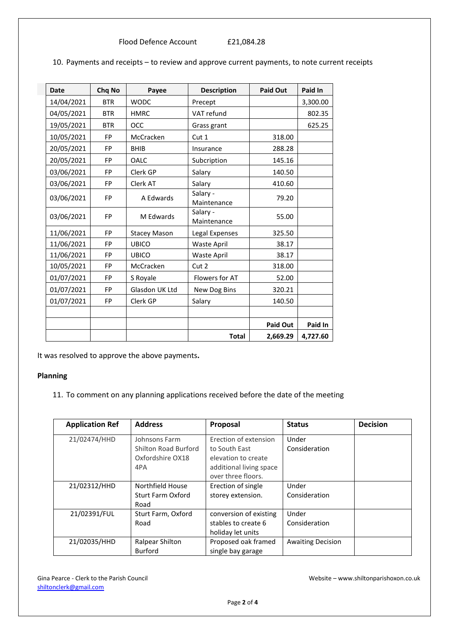Flood Defence Account £21,084.28

| <b>Date</b> | Chq No     | Payee               | <b>Description</b>      | <b>Paid Out</b> | Paid In  |
|-------------|------------|---------------------|-------------------------|-----------------|----------|
| 14/04/2021  | <b>BTR</b> | <b>WODC</b>         | Precept                 |                 | 3,300.00 |
| 04/05/2021  | <b>BTR</b> | <b>HMRC</b>         | VAT refund              |                 | 802.35   |
| 19/05/2021  | <b>BTR</b> | OCC                 | Grass grant             |                 | 625.25   |
| 10/05/2021  | <b>FP</b>  | McCracken           | Cut 1                   | 318.00          |          |
| 20/05/2021  | <b>FP</b>  | <b>BHIB</b>         | Insurance               | 288.28          |          |
| 20/05/2021  | <b>FP</b>  | OALC                | Subcription             | 145.16          |          |
| 03/06/2021  | <b>FP</b>  | Clerk GP            | Salary                  | 140.50          |          |
| 03/06/2021  | <b>FP</b>  | Clerk AT            | Salary                  | 410.60          |          |
| 03/06/2021  | <b>FP</b>  | A Edwards           | Salary -<br>Maintenance | 79.20           |          |
| 03/06/2021  | <b>FP</b>  | M Edwards           | Salary -<br>Maintenance | 55.00           |          |
| 11/06/2021  | FP         | <b>Stacey Mason</b> | Legal Expenses          | 325.50          |          |
| 11/06/2021  | <b>FP</b>  | <b>UBICO</b>        | Waste April             | 38.17           |          |
| 11/06/2021  | <b>FP</b>  | <b>UBICO</b>        | Waste April             | 38.17           |          |
| 10/05/2021  | <b>FP</b>  | McCracken           | Cut 2                   | 318.00          |          |
| 01/07/2021  | <b>FP</b>  | S Royale            | Flowers for AT          | 52.00           |          |
| 01/07/2021  | <b>FP</b>  | Glasdon UK Ltd      | New Dog Bins            | 320.21          |          |
| 01/07/2021  | <b>FP</b>  | Clerk GP            | Salary                  | 140.50          |          |
|             |            |                     |                         |                 |          |
|             |            |                     |                         | <b>Paid Out</b> | Paid In  |
|             |            |                     | <b>Total</b>            | 2,669.29        | 4,727.60 |

10. Payments and receipts – to review and approve current payments, to note current receipts

It was resolved to approve the above payments**.**

#### **Planning**

11. To comment on any planning applications received before the date of the meeting

| <b>Application Ref</b> | <b>Address</b>                                                   | Proposal                                                                                                       | <b>Status</b>            | <b>Decision</b> |
|------------------------|------------------------------------------------------------------|----------------------------------------------------------------------------------------------------------------|--------------------------|-----------------|
| 21/02474/HHD           | Johnsons Farm<br>Shilton Road Burford<br>Oxfordshire OX18<br>4PA | Erection of extension<br>to South East<br>elevation to create<br>additional living space<br>over three floors. | Under<br>Consideration   |                 |
| 21/02312/HHD           | Northfield House<br><b>Sturt Farm Oxford</b><br>Road             | Erection of single<br>storey extension.                                                                        | Under<br>Consideration   |                 |
| 21/02391/FUL           | Sturt Farm, Oxford<br>Road                                       | conversion of existing<br>stables to create 6<br>holiday let units                                             | Under<br>Consideration   |                 |
| 21/02035/HHD           | Ralpear Shilton<br><b>Burford</b>                                | Proposed oak framed<br>single bay garage                                                                       | <b>Awaiting Decision</b> |                 |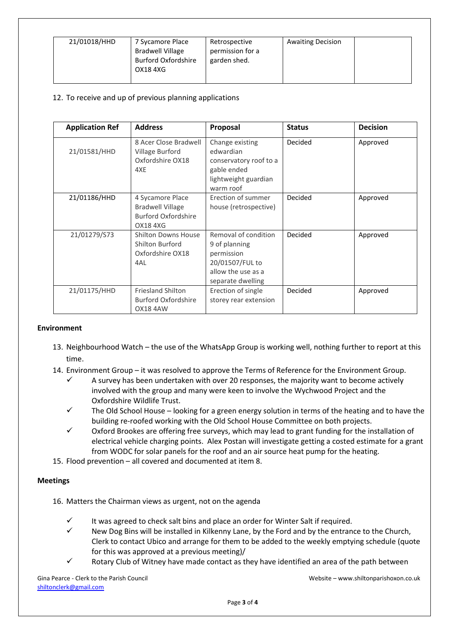| 21/01018/HHD | 7 Sycamore Place<br><b>Bradwell Village</b><br><b>Burford Oxfordshire</b><br>OX18 4XG | Retrospective<br>permission for a<br>garden shed. | <b>Awaiting Decision</b> |  |
|--------------|---------------------------------------------------------------------------------------|---------------------------------------------------|--------------------------|--|
|--------------|---------------------------------------------------------------------------------------|---------------------------------------------------|--------------------------|--|

# 12. To receive and up of previous planning applications

| <b>Application Ref</b> | <b>Address</b>                                                                | <b>Proposal</b>                                                                                                   | <b>Status</b> | <b>Decision</b> |
|------------------------|-------------------------------------------------------------------------------|-------------------------------------------------------------------------------------------------------------------|---------------|-----------------|
| 21/01581/HHD           | 8 Acer Close Bradwell<br>Village Burford<br>Oxfordshire OX18<br>4XF           | Change existing<br>edwardian<br>conservatory roof to a<br>gable ended<br>lightweight guardian<br>warm roof        | Decided       | Approved        |
| 21/01186/HHD           | 4 Sycamore Place<br><b>Bradwell Village</b><br>Burford Oxfordshire<br>OX184XG | Erection of summer<br>house (retrospective)                                                                       | Decided       | Approved        |
| 21/01279/S73           | <b>Shilton Downs House</b><br>Shilton Burford<br>Oxfordshire OX18<br>4AL      | Removal of condition<br>9 of planning<br>permission<br>20/01507/FUL to<br>allow the use as a<br>separate dwelling | Decided       | Approved        |
| 21/01175/HHD           | <b>Friesland Shilton</b><br><b>Burford Oxfordshire</b><br><b>OX18 4AW</b>     | Erection of single<br>storey rear extension                                                                       | Decided       | Approved        |

#### **Environment**

- 13. Neighbourhood Watch the use of the WhatsApp Group is working well, nothing further to report at this time.
- 14. Environment Group it was resolved to approve the Terms of Reference for the Environment Group.
	- A survey has been undertaken with over 20 responses, the majority want to become actively involved with the group and many were keen to involve the Wychwood Project and the Oxfordshire Wildlife Trust.
	- $\checkmark$  The Old School House looking for a green energy solution in terms of the heating and to have the building re-roofed working with the Old School House Committee on both projects.
	- $\checkmark$  Oxford Brookes are offering free surveys, which may lead to grant funding for the installation of electrical vehicle charging points. Alex Postan will investigate getting a costed estimate for a grant from WODC for solar panels for the roof and an air source heat pump for the heating.
- 15. Flood prevention all covered and documented at item 8.

## **Meetings**

16. Matters the Chairman views as urgent, not on the agenda

- It was agreed to check salt bins and place an order for Winter Salt if required.
- New Dog Bins will be installed in Kilkenny Lane, by the Ford and by the entrance to the Church, Clerk to contact Ubico and arrange for them to be added to the weekly emptying schedule (quote for this was approved at a previous meeting)/
- Rotary Club of Witney have made contact as they have identified an area of the path between

[shiltonc](mailto:shilton)lerk@gmail.com

Gina Pearce - Clerk to the Parish Council Website – www.shiltonparishoxon.co.uk